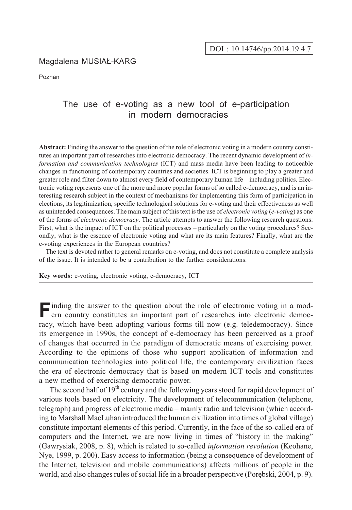# Magdalena MUSIA£-KARG

Poznan

# The use of e-voting as a new tool of e-participation in modern democracies

**Abstract:** Finding the answer to the question of the role of electronic voting in a modern country constitutes an important part of researches into electronic democracy. The recent dynamic development of *information and communication technologies* (ICT) and mass media have been leading to noticeable changes in functioning of contemporary countries and societies. ICT is beginning to play a greater and greater role and filter down to almost every field of contemporary human life – including politics. Electronic voting represents one of the more and more popular forms of so called e-democracy, and is an interesting research subject in the context of mechanisms for implementing this form of participation in elections, its legitimization, specific technological solutions for e-voting and their effectiveness as well as unintended consequences. The main subject of this text is the use of *electronic voting* (*e-voting*) as one of the forms of *electronic democracy*. The article attempts to answer the following research questions: First, what is the impact of ICT on the political processes – particularly on the voting procedures? Secondly, what is the essence of electronic voting and what are its main features? Finally, what are the e-voting experiences in the European countries?

The text is devoted rather to general remarks on e-voting, and does not constitute a complete analysis of the issue. It is intended to be a contribution to the further considerations.

**Key words:** e-voting, electronic voting, e-democracy, ICT

**F**inding the answer to the question about the role of electronic voting in a modern country constitutes an important part of researches into electronic democracy, which have been adopting various forms till now (e.g. teledemocracy). Since its emergence in 1990s, the concept of e-democracy has been perceived as a proof of changes that occurred in the paradigm of democratic means of exercising power. According to the opinions of those who support application of information and communication technologies into political life, the contemporary civilization faces the era of electronic democracy that is based on modern ICT tools and constitutes a new method of exercising democratic power.

The second half of  $19<sup>th</sup>$  century and the following years stood for rapid development of various tools based on electricity. The development of telecommunication (telephone, telegraph) and progress of electronic media – mainly radio and television (which according to Marshall MacLuhan introduced the human civilization into times of global village) constitute important elements of this period. Currently, in the face of the so-called era of computers and the Internet, we are now living in times of "history in the making" (Gawrysiak, 2008, p. 8), which is related to so-called *information revolution* (Keohane, Nye, 1999, p. 200). Easy access to information (being a consequence of development of the Internet, television and mobile communications) affects millions of people in the world, and also changes rules of social life in a broader perspective (Porebski, 2004, p. 9).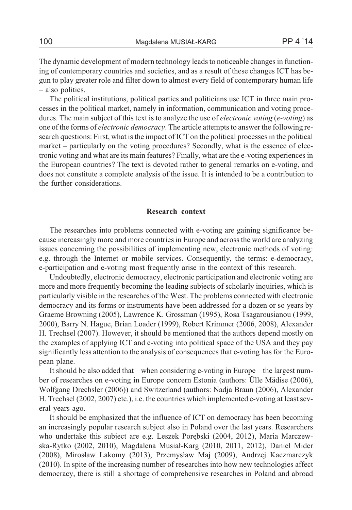The dynamic development of modern technology leads to noticeable changes in functioning of contemporary countries and societies, and as a result of these changes ICT has begun to play greater role and filter down to almost every field of contemporary human life – also politics.

The political institutions, political parties and politicians use ICT in three main processes in the political market, namely in information, communication and voting procedures. The main subject of this text is to analyze the use of *electronic voting* (*e-voting*) as one of the forms of *electronic democracy*. The article attempts to answer the following research questions: First, what is the impact of ICT on the political processes in the political market – particularly on the voting procedures? Secondly, what is the essence of electronic voting and what are its main features? Finally, what are the e-voting experiences in the European countries? The text is devoted rather to general remarks on e-voting, and does not constitute a complete analysis of the issue. It is intended to be a contribution to the further considerations.

### **Research context**

The researches into problems connected with e-voting are gaining significance because increasingly more and more countries in Europe and across the world are analyzing issues concerning the possibilities of implementing new, electronic methods of voting: e.g. through the Internet or mobile services. Consequently, the terms: e-democracy, e-participation and e-voting most frequently arise in the context of this research.

Undoubtedly, electronic democracy, electronic participation and electronic voting are more and more frequently becoming the leading subjects of scholarly inquiries, which is particularly visible in the researches of the West. The problems connected with electronic democracy and its forms or instruments have been addressed for a dozen or so years by Graeme Browning (2005), Lawrence K. Grossman (1995), Rosa Tsagarousianou (1999, 2000), Barry N. Hague, Brian Loader (1999), Robert Krimmer (2006, 2008), Alexander H. Trechsel (2007). However, it should be mentioned that the authors depend mostly on the examples of applying ICT and e-voting into political space of the USA and they pay significantly less attention to the analysis of consequences that e-voting has for the European plane.

It should be also added that – when considering e-voting in Europe – the largest number of researches on e-voting in Europe concern Estonia (authors: Ülle Mädise (2006), Wolfgang Drechsler (2006)) and Switzerland (authors: Nadja Braun (2006), Alexander H. Trechsel (2002, 2007) etc.), i.e. the countries which implemented e-voting at least several years ago.

It should be emphasized that the influence of ICT on democracy has been becoming an increasingly popular research subject also in Poland over the last years. Researchers who undertake this subject are e.g. Leszek Porêbski (2004, 2012), Maria Marczewska-Rytko (2002, 2010), Magdalena Musia³-Karg (2010, 2011, 2012), Daniel Mider (2008), Miros³aw Lakomy (2013), Przemys³aw Maj (2009), Andrzej Kaczmarczyk (2010). In spite of the increasing number of researches into how new technologies affect democracy, there is still a shortage of comprehensive researches in Poland and abroad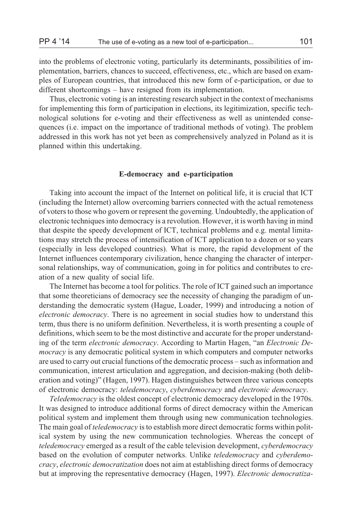into the problems of electronic voting, particularly its determinants, possibilities of implementation, barriers, chances to succeed, effectiveness, etc., which are based on examples of European countries, that introduced this new form of e-participation, or due to different shortcomings – have resigned from its implementation.

Thus, electronic voting is an interesting research subject in the context of mechanisms for implementing this form of participation in elections, its legitimization, specific technological solutions for e-voting and their effectiveness as well as unintended consequences (i.e. impact on the importance of traditional methods of voting). The problem addressed in this work has not yet been as comprehensively analyzed in Poland as it is planned within this undertaking.

#### **E-democracy and e-participation**

Taking into account the impact of the Internet on political life, it is crucial that ICT (including the Internet) allow overcoming barriers connected with the actual remoteness of voters to those who govern or represent the governing. Undoubtedly, the application of electronic techniques into democracy is a revolution. However, it is worth having in mind that despite the speedy development of ICT, technical problems and e.g. mental limitations may stretch the process of intensification of ICT application to a dozen or so years (especially in less developed countries). What is more, the rapid development of the Internet influences contemporary civilization, hence changing the character of interpersonal relationships, way of communication, going in for politics and contributes to creation of a new quality of social life.

The Internet has become a tool for politics. The role of ICT gained such an importance that some theoreticians of democracy see the necessity of changing the paradigm of understanding the democratic system (Hague, Loader, 1999) and introducing a notion of *electronic democracy*. There is no agreement in social studies how to understand this term, thus there is no uniform definition. Nevertheless, it is worth presenting a couple of definitions, which seem to be the most distinctive and accurate for the proper understanding of the term *electronic democracy*. According to Martin Hagen, "an *Electronic Democracy* is any democratic political system in which computers and computer networks are used to carry out crucial functions of the democratic process – such as information and communication, interest articulation and aggregation, and decision-making (both deliberation and voting)" (Hagen, 1997). Hagen distinguishes between three various concepts of electronic democracy: *teledemocracy*, *cyberdemocracy* and *electronic democracy*.

*Teledemocracy* is the oldest concept of electronic democracy developed in the 1970s. It was designed to introduce additional forms of direct democracy within the American political system and implement them through using new communication technologies. The main goal of *teledemocracy* is to establish more direct democratic forms within political system by using the new communication technologies. Whereas the concept of *teledemocracy* emerged as a result of the cable television development, *cyberdemocracy* based on the evolution of computer networks. Unlike *teledemocracy* and *cyberdemocracy*, *electronic democratization* does not aim at establishing direct forms of democracy but at improving the representative democracy (Hagen, 1997). *Electronic democratiza-*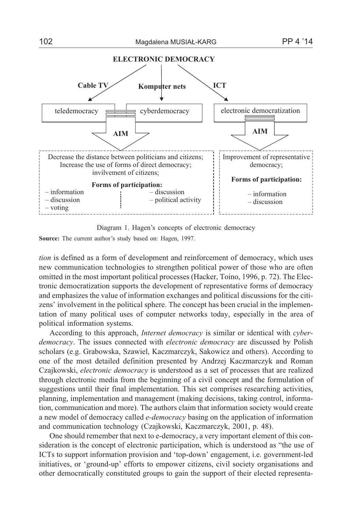

Diagram 1. Hagen's concepts of electronic democracy

**Source:** The current author's study based on: Hagen, 1997.

*tion* is defined as a form of development and reinforcement of democracy, which uses new communication technologies to strengthen political power of those who are often omitted in the most important political processes (Hacker, Toino, 1996, p. 72). The Electronic democratization supports the development of representative forms of democracy and emphasizes the value of information exchanges and political discussions for the citizens' involvement in the political sphere. The concept has been crucial in the implementation of many political uses of computer networks today, especially in the area of political information systems.

According to this approach, *Internet democracy* is similar or identical with *cyberdemocracy*. The issues connected with *electronic democracy* are discussed by Polish scholars (e.g. Grabowska, Szawiel, Kaczmarczyk, Sakowicz and others). According to one of the most detailed definition presented by Andrzej Kaczmarczyk and Roman Czajkowski, *electronic democracy* is understood as a set of processes that are realized through electronic media from the beginning of a civil concept and the formulation of suggestions until their final implementation. This set comprises researching activities, planning, implementation and management (making decisions, taking control, information, communication and more). The authors claim that information society would create a new model of democracy called *e-democracy* basing on the application of information and communication technology (Czajkowski, Kaczmarczyk, 2001, p. 48).

One should remember that next to e-democracy, a very important element of this consideration is the concept of electronic participation, which is understood as "the use of ICTs to support information provision and 'top-down' engagement, i.e. government-led initiatives, or 'ground-up' efforts to empower citizens, civil society organisations and other democratically constituted groups to gain the support of their elected representa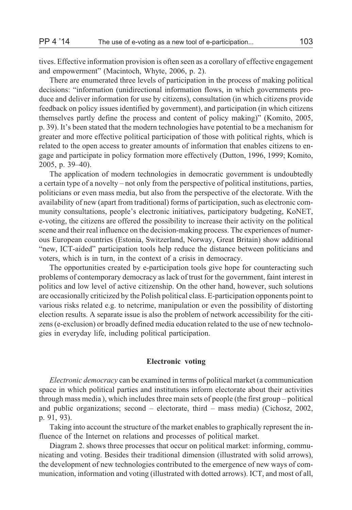tives. Effective information provision is often seen as a corollary of effective engagement and empowerment" (Macintoch, Whyte, 2006, p. 2).

There are enumerated three levels of participation in the process of making political decisions: "information (unidirectional information flows, in which governments produce and deliver information for use by citizens), consultation (in which citizens provide feedback on policy issues identified by government), and participation (in which citizens themselves partly define the process and content of policy making)" (Komito, 2005, p. 39). It's been stated that the modern technologies have potential to be a mechanism for greater and more effective political participation of those with political rights, which is related to the open access to greater amounts of information that enables citizens to engage and participate in policy formation more effectively (Dutton, 1996, 1999; Komito, 2005, p. 39–40).

The application of modern technologies in democratic government is undoubtedly a certain type of a novelty – not only from the perspective of political institutions, parties, politicians or even mass media, but also from the perspective of the electorate. With the availability of new (apart from traditional) forms of participation, such as electronic community consultations, people's electronic initiatives, participatory budgeting, KoNET, e-voting, the citizens are offered the possibility to increase their activity on the political scene and their real influence on the decision-making process. The experiences of numerous European countries (Estonia, Switzerland, Norway, Great Britain) show additional "new, ICT-aided" participation tools help reduce the distance between politicians and voters, which is in turn, in the context of a crisis in democracy.

The opportunities created by e-participation tools give hope for counteracting such problems of contemporary democracy as lack of trust for the government, faint interest in politics and low level of active citizenship. On the other hand, however, such solutions are occasionally criticized by the Polish political class. E-participation opponents point to various risks related e.g. to netcrime, manipulation or even the possibility of distorting election results. A separate issue is also the problem of network accessibility for the citizens (e-exclusion) or broadly defined media education related to the use of new technologies in everyday life, including political participation.

#### **Electronic voting**

*Electronic democracy* can be examined in terms of political market (a communication space in which political parties and institutions inform electorate about their activities through mass media ), which includes three main sets of people (the first group – political and public organizations; second – electorate, third – mass media) (Cichosz, 2002, p. 91, 93).

Taking into account the structure of the market enables to graphically represent the influence of the Internet on relations and processes of political market.

Diagram 2. shows three processes that occur on political market: informing, communicating and voting. Besides their traditional dimension (illustrated with solid arrows), the development of new technologies contributed to the emergence of new ways of communication, information and voting (illustrated with dotted arrows). ICT, and most of all,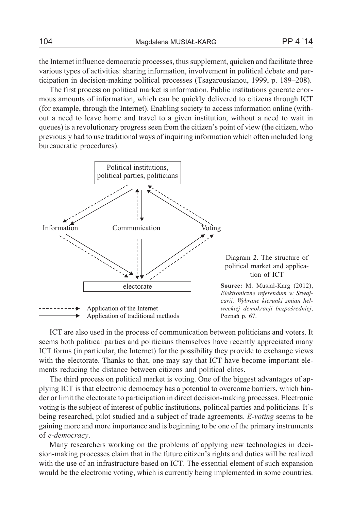the Internet influence democratic processes, thus supplement, quicken and facilitate three various types of activities: sharing information, involvement in political debate and participation in decision-making political processes (Tsagarousianou, 1999, p. 189–208).

The first process on political market is information. Public institutions generate enormous amounts of information, which can be quickly delivered to citizens through ICT (for example, through the Internet). Enabling society to access information online (without a need to leave home and travel to a given institution, without a need to wait in queues) is a revolutionary progress seen from the citizen's point of view (the citizen, who previously had to use traditional ways of inquiring information which often included long bureaucratic procedures).



ICT are also used in the process of communication between politicians and voters. It seems both political parties and politicians themselves have recently appreciated many ICT forms (in particular, the Internet) for the possibility they provide to exchange views with the electorate. Thanks to that, one may say that ICT have become important elements reducing the distance between citizens and political elites.

The third process on political market is voting. One of the biggest advantages of applying ICT is that electronic democracy has a potential to overcome barriers, which hinder or limit the electorate to participation in direct decision-making processes. Electronic voting is the subject of interest of public institutions, political parties and politicians. It's being researched, pilot studied and a subject of trade agreements. *E-voting* seems to be gaining more and more importance and is beginning to be one of the primary instruments of *e-democracy*.

Many researchers working on the problems of applying new technologies in decision-making processes claim that in the future citizen's rights and duties will be realized with the use of an infrastructure based on ICT. The essential element of such expansion would be the electronic voting, which is currently being implemented in some countries.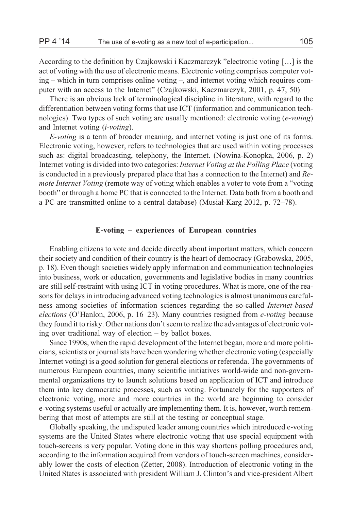According to the definition by Czajkowski i Kaczmarczyk "electronic voting […] is the act of voting with the use of electronic means. Electronic voting comprises computer voting – which in turn comprises online voting –, and internet voting which requires computer with an access to the Internet" (Czajkowski, Kaczmarczyk, 2001, p. 47, 50)

There is an obvious lack of terminological discipline in literature, with regard to the differentiation between voting forms that use ICT (information and communication technologies). Two types of such voting are usually mentioned: electronic voting (*e-voting*) and Internet voting (*i-voting*).

*E-voting* is a term of broader meaning, and internet voting is just one of its forms. Electronic voting, however, refers to technologies that are used within voting processes such as: digital broadcasting, telephony, the Internet. (Nowina-Konopka, 2006, p. 2) Internet voting is divided into two categories: *Internet Voting at the Polling Place* (voting is conducted in a previously prepared place that has a connection to the Internet) and *Remote Internet Voting* (remote way of voting which enables a voter to vote from a "voting" booth" or through a home PC that is connected to the Internet. Data both from a booth and a PC are transmitted online to a central database) (Musia³-Karg 2012, p. 72–78).

# **E-voting – experiences of European countries**

Enabling citizens to vote and decide directly about important matters, which concern their society and condition of their country is the heart of democracy (Grabowska, 2005, p. 18). Even though societies widely apply information and communication technologies into business, work or education, governments and legislative bodies in many countries are still self-restraint with using ICT in voting procedures. What is more, one of the reasons for delays in introducing advanced voting technologies is almost unanimous carefulness among societies of information sciences regarding the so-called *Internet-based elections* (O'Hanlon, 2006, p. 16–23). Many countries resigned from *e-voting* because they found it to risky. Other nations don't seem to realize the advantages of electronic voting over traditional way of election – by ballot boxes.

Since 1990s, when the rapid development of the Internet began, more and more politicians, scientists or journalists have been wondering whether electronic voting (especially Internet voting) is a good solution for general elections or referenda. The governments of numerous European countries, many scientific initiatives world-wide and non-governmental organizations try to launch solutions based on application of ICT and introduce them into key democratic processes, such as voting. Fortunately for the supporters of electronic voting, more and more countries in the world are beginning to consider e-voting systems useful or actually are implementing them. It is, however, worth remembering that most of attempts are still at the testing or conceptual stage.

Globally speaking, the undisputed leader among countries which introduced e-voting systems are the United States where electronic voting that use special equipment with touch-screens is very popular. Voting done in this way shortens polling procedures and, according to the information acquired from vendors of touch-screen machines, considerably lower the costs of election (Zetter, 2008). Introduction of electronic voting in the United States is associated with president William J. Clinton's and vice-president Albert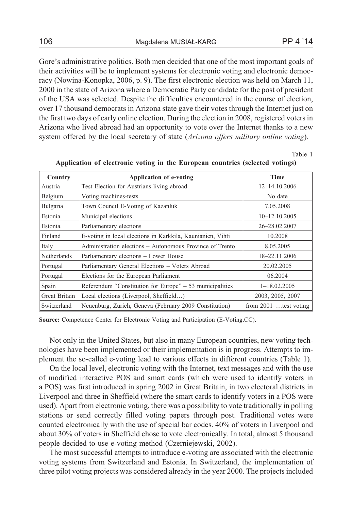Gore's administrative politics. Both men decided that one of the most important goals of their activities will be to implement systems for electronic voting and electronic democracy (Nowina-Konopka, 2006, p. 9). The first electronic election was held on March 11, 2000 in the state of Arizona where a Democratic Party candidate for the post of president of the USA was selected. Despite the difficulties encountered in the course of election, over 17 thousand democrats in Arizona state gave their votes through the Internet just on the first two days of early online election. During the election in 2008, registered voters in Arizona who lived abroad had an opportunity to vote over the Internet thanks to a new system offered by the local secretary of state (*Arizona offers military online voting*).

Table 1

| Country       | Application of e-voting                                    | <b>Time</b>              |
|---------------|------------------------------------------------------------|--------------------------|
| Austria       | Test Election for Austrians living abroad                  | 12-14.10.2006            |
| Belgium       | Voting machines-tests                                      | No date                  |
| Bulgaria      | Town Council E-Voting of Kazanluk                          | 7.05.2008                |
| Estonia       | Municipal elections                                        | $10 - 12.10.2005$        |
| Estonia       | Parliamentary elections                                    | 26-28.02.2007            |
| Finland       | E-voting in local elections in Karkkila, Kaunianien, Vihti | 10.2008                  |
| Italy         | Administration elections – Autonomous Province of Trento   | 8.05.2005                |
| Netherlands   | Parliamentary elections - Lower House                      | 18-22.11.2006            |
| Portugal      | Parliamentary General Elections - Voters Abroad            | 20.02.2005               |
| Portugal      | Elections for the European Parliament                      | 06.2004                  |
| Spain         | Referendum "Constitution for Europe" - 53 municipalities   | $1 - 18.02.2005$         |
| Great Britain | Local elections (Liverpool, Sheffield)                     | 2003, 2005, 2007         |
| Switzerland   | Neuenburg, Zurich, Geneva (February 2009 Constitution)     | from $2001$ -test voting |

**Application of electronic voting in the European countries (selected votings)**

**Source:** Competence Center for Electronic Voting and Participation (E-Voting.CC).

Not only in the United States, but also in many European countries, new voting technologies have been implemented or their implementation is in progress. Attempts to implement the so-called e-voting lead to various effects in different countries (Table 1).

On the local level, electronic voting with the Internet, text messages and with the use of modified interactive POS and smart cards (which were used to identify voters in a POS) was first introduced in spring 2002 in Great Britain, in two electoral districts in Liverpool and three in Sheffield (where the smart cards to identify voters in a POS were used). Apart from electronic voting, there was a possibility to vote traditionally in polling stations or send correctly filled voting papers through post. Traditional votes were counted electronically with the use of special bar codes. 40% of voters in Liverpool and about 30% of voters in Sheffield chose to vote electronically. In total, almost 5 thousand people decided to use e-voting method (Czerniejewski, 2002).

The most successful attempts to introduce e-voting are associated with the electronic voting systems from Switzerland and Estonia. In Switzerland, the implementation of three pilot voting projects was considered already in the year 2000. The projects included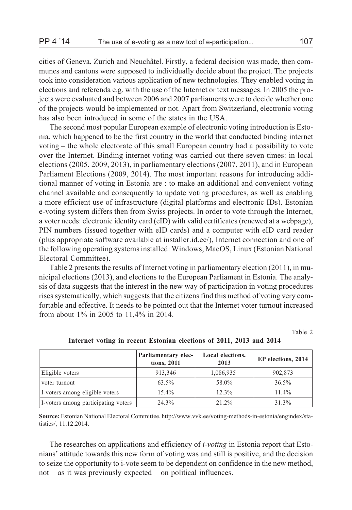cities of Geneva, Zurich and Neuchâtel. Firstly, a federal decision was made, then communes and cantons were supposed to individually decide about the project. The projects took into consideration various application of new technologies. They enabled voting in elections and referenda e.g. with the use of the Internet or text messages. In 2005 the projects were evaluated and between 2006 and 2007 parliaments were to decide whether one of the projects would be implemented or not. Apart from Switzerland, electronic voting has also been introduced in some of the states in the USA.

The second most popular European example of electronic voting introduction is Estonia, which happened to be the first country in the world that conducted binding internet voting – the whole electorate of this small European country had a possibility to vote over the Internet. Binding internet voting was carried out there seven times: in local elections (2005, 2009, 2013), in parliamentary elections (2007, 2011), and in European Parliament Elections (2009, 2014). The most important reasons for introducing additional manner of voting in Estonia are : to make an additional and convenient voting channel available and consequently to update voting procedures, as well as enabling a more efficient use of infrastructure (digital platforms and electronic IDs). Estonian e-voting system differs then from Swiss projects. In order to vote through the Internet, a voter needs: electronic identity card (eID) with valid certificates (renewed at a webpage), PIN numbers (issued together with eID cards) and a computer with eID card reader (plus appropriate software available at installer.id.ee/), Internet connection and one of the following operating systems installed: Windows, MacOS, Linux (Estonian National Electoral Committee).

Table 2 presents the results of Internet voting in parliamentary election (2011), in municipal elections (2013), and elections to the European Parliament in Estonia. The analysis of data suggests that the interest in the new way of participation in voting procedures rises systematically, which suggests that the citizens find this method of voting very comfortable and effective. It needs to be pointed out that the Internet voter turnout increased from about 1% in 2005 to 11,4% in 2014.

Table 2

|                                     | Parliamentary elec-<br>tions, 2011 | Local elections,<br>2013 | EP elections, 2014 |
|-------------------------------------|------------------------------------|--------------------------|--------------------|
| Eligible voters                     | 913,346                            | 1,086,935                | 902,873            |
| voter turnout                       | 63.5%                              | 58.0%                    | $36.5\%$           |
| I-voters among eligible voters      | 15.4%                              | $12.3\%$                 | $11.4\%$           |
| I-voters among participating voters | 24.3%                              | 21.2%                    | 31.3%              |

**Internet voting in recent Estonian elections of 2011, 2013 and 2014**

**Source:** Estonian National Electoral Committee, http://www.vvk.ee/voting-methods-in-estonia/engindex/statistics/, 11.12.2014.

The researches on applications and efficiency of *i-voting* in Estonia report that Estonians' attitude towards this new form of voting was and still is positive, and the decision to seize the opportunity to i-vote seem to be dependent on confidence in the new method, not – as it was previously expected – on political influences.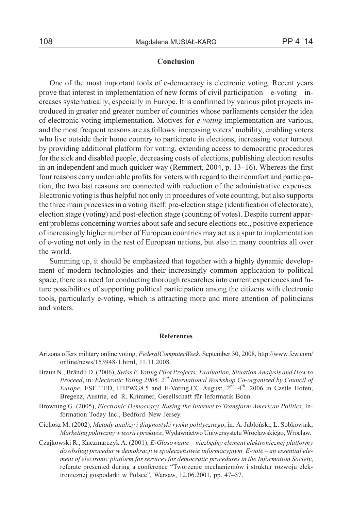## **Conclusion**

One of the most important tools of e-democracy is electronic voting. Recent years prove that interest in implementation of new forms of civil participation – e-voting – increases systematically, especially in Europe. It is confirmed by various pilot projects introduced in greater and greater number of countries whose parliaments consider the idea of electronic voting implementation. Motives for *e-voting* implementation are various, and the most frequent reasons are as follows: increasing voters' mobility, enabling voters who live outside their home country to participate in elections, increasing voter turnout by providing additional platform for voting, extending access to democratic procedures for the sick and disabled people, decreasing costs of elections, publishing election results in an independent and much quicker way (Remmert, 2004, p. 13–16). Whereas the first four reasons carry undeniable profits for voters with regard to their comfort and participation, the two last reasons are connected with reduction of the administrative expenses. Electronic voting is thus helpful not only in procedures of vote counting, but also supports the three main processes in a voting itself: pre-election stage (identification of electorate), election stage (voting) and post-election stage (counting of votes). Despite current apparent problems concerning worries about safe and secure elections etc., positive experience of increasingly higher number of European countries may act as a spur to implementation of e-voting not only in the rest of European nations, but also in many countries all over the world.

Summing up, it should be emphasized that together with a highly dynamic development of modern technologies and their increasingly common application to political space, there is a need for conducting thorough researches into current experiences and future possibilities of supporting political participation among the citizens with electronic tools, particularly e-voting, which is attracting more and more attention of politicians and voters.

#### **References**

- Arizona offers military online voting, *FederalComputerWeek*, September 30, 2008, http://www.fcw.com/ online/news/153948-1.html, 11.11.2008.
- Braun N., Brändli D. (2006), *Swiss E-Voting Pilot Projects: Evaluation, Situation Analysis and How to Proceed*, in: *Electronic Voting 2006. 2nd International Workshop Co-organized by Council of Europe*, ESF TED, IFIPWG8.5 and E-Voting.CC August,  $2<sup>nd</sup>-4<sup>th</sup>$ , 2006 in Castle Hofen, Bregenz, Austria, ed. R. Krimmer, Gesellschaft für Informatik Bonn.
- Browning G. (2005), *Electronic Democracy. Rusing the Internet to Transform American Politics*, Information Today Inc., Bedford–New Jersey.
- Cichosz M. (2002), *Metody analizy i diagnostyki rynku politycznego*, in: A. Jabłoński, L. Sobkowiak, *Marketing polityczny w teorii i praktyce*, Wydawnictwo Uniwersystetu Wroc³awskiego, Wroc³aw.
- Czajkowski R., Kaczmarczyk A. (2001), *E-Głosowanie niezbedny element elektronicznej platformy* do obsługi procedur w demokracji w społeczeństwie informacyjnym. E-vote – an essential ele*ment of electronic platform for services for democratic procedures in the Information Society*, referate presented during a conference "Tworzenie mechanizmów i struktur rozwoju elektronicznej gospodarki w Polsce", Warsaw, 12.06.2001, pp. 47–57.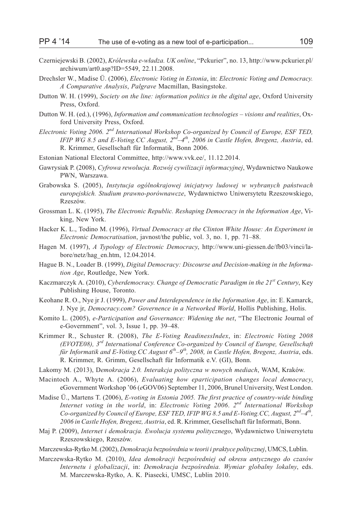- Czerniejewski B. (2002), *Królewska e-w³adza. UK online*, "Pckurier", no. 13, http://www.pckurier.pl/ archiwum/art0.asp?ID=5549, 22.11.2008.
- Drechsler W., Madise Ü. (2006), *Electronic Voting in Estonia*, in: *Electronic Voting and Democracy. A Comparative Analysis*, *Palgrave* Macmillan, Basingstoke.
- Dutton W. H. (1999), *Society on the line: information politics in the digital age*, Oxford University Press, Oxford.
- Dutton W. H. (ed.), (1996), *Information and communication technologies visions and realities*, Oxford University Press, Oxford.
- *Electronic Voting 2006. 2nd International Workshop Co-organized by Council of Europe, ESF TED, IFIP WG 8.5 and E-Voting.CC August,*  $2^{nd}-4^{th}$ *, 2006 in Castle Hofen, Bregenz, Austria*, ed. R. Krimmer, Gesellschaft für Informatik, Bonn 2006.
- Estonian National Electoral Committee, http://www.vvk.ee/, 11.12.2014.
- Gawrysiak P. (2008), *Cyfrowa rewolucja. Rozwój cywilizacji informacyjnej*, Wydawnictwo Naukowe PWN, Warszawa.
- Grabowska S. (2005), *Instytucja ogólnokrajowej inicjatywy ludowej w wybranych pañstwach europejskich. Studium prawno-porównawcze*, Wydawnictwo Uniwersytetu Rzeszowskiego, Rzeszów.
- Grossman L. K. (1995), *The Electronic Republic. Reshaping Democracy in the Information Age*, Viking, New York.
- Hacker K. L., Todino M. (1996), *Virtual Democracy at the Clinton White House: An Experiment in Electronic Democratisation*, javnost/the public, vol. 3, no. 1, pp. 71–88.
- Hagen M. (1997), *A Typology of Electronic Democracy*, http://www.uni-giessen.de/fb03/vinci/labore/netz/hag\_en.htm, 12.04.2014.
- Hague B. N., Loader B. (1999), *Digital Democracy: Discourse and Decision-making in the Information Age*, Routledge, New York.
- Kaczmarczyk A. (2010), *Cyberdemocracy. Change of Democratic Paradigm in the 21st Century*, Key Publishing House, Toronto.
- Keohane R. O., Nye jr J. (1999), *Power and Interdependence in the Information Age*, in: E. Kamarck, J. Nye jr, *Democracy.com? Governence in a Networked World*, Hollis Publishing, Holis.
- Komito L. (2005), *e-Participation and Governance: Widening the net*, "The Electronic Journal of e-Government", vol. 3, Issue 1, pp. 39–48.
- Krimmer R., Schuster R. (2008), *The E-Voting ReadinessIndex*, in: *Electronic Voting 2008 (EVOTE08), 3rd International Conference Co-organized by Council of Europe, Gesellschaft für Informatik and E-Voting.CC August 6th–9th, 2008, in Castle Hofen, Bregenz, Austria*, eds. R. Krimmer, R. Grimm, Gesellschaft für Informatik e.V. (GI), Bonn.
- Lakomy M. (2013), D*emokracja 2.0. Interakcja polityczna w nowych mediach*, WAM, Kraków.
- Macintoch A., Whyte A. (2006), *Evaluating how eparticipation changes local democracy*, eGovernment Workshop '06 (*e*GOV06) September 11, 2006, Brunel University, West London.
- Madise Ü., Martens T. (2006), *E-voting in Estonia 2005. The first practice of country-wide binding Internet voting in the world*, in: *Electronic Voting 2006*. *2nd International Workshop Co-organized by Council of Europe, ESF TED, IFIP WG 8.5 and E-Voting.CC, August, 2nd–4th, 2006 in Castle Hofen, Bregenz, Austria*, ed. R. Krimmer, Gesellschaft für Informati, Bonn.
- Maj P. (2009), *Internet i demokracja. Ewolucja systemu politycznego*, Wydawnictwo Uniwersytetu Rzeszowskiego, Rzeszów.
- Marczewska-Rytko M. (2002), *Demokracja bezpośrednia w teorii i praktyce politycznej*, UMCS, Lublin.
- Marczewska-Rytko M. (2010), *Idea demokracji bezpośredniej od okresu antycznego do czasów Internetu i globalizacji*, in: *Demokracja bezpośrednia. Wymiar globalny lokalny*, eds. M. Marczewska-Rytko, A. K. Piasecki, UMSC, Lublin 2010.